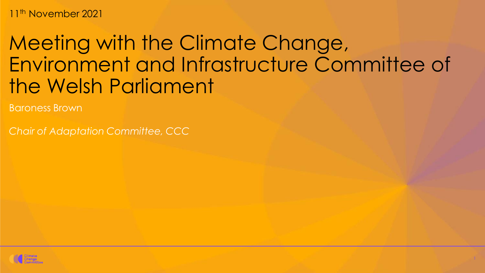11<sup>th</sup> November 2021

# Meeting with the Climate Change, Environment and Infrastructure Committee of the Welsh Parliament

Baroness Brown

*Chair of Adaptation Committee, CCC*

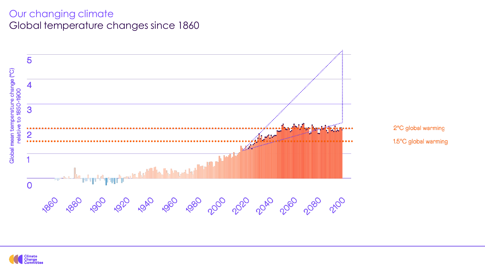#### Our changing climate Global temperature changes since 1860



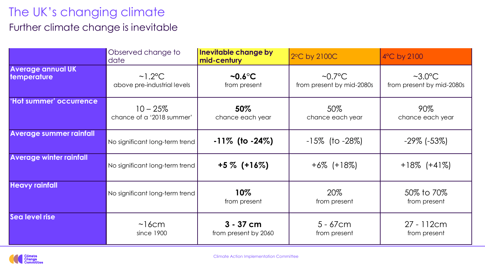# The UK's changing climate

## Further climate change is inevitable

|                                                | Observed change to<br>date                            | Inevitable change by<br>mid-century | 2°C by 2100C                               | 4°C by 2100                                           |
|------------------------------------------------|-------------------------------------------------------|-------------------------------------|--------------------------------------------|-------------------------------------------------------|
| <b>Average annual UK</b><br><b>temperature</b> | $\sim$ 1.2 $\degree$ C<br>above pre-industrial levels | $\sim 0.6$ °C<br>from present       | $\sim 0.7$ °C<br>from present by mid-2080s | $~\sim$ 3.0 $^{\circ}$ C<br>from present by mid-2080s |
| 'Hot summer' occurrence                        | $10 - 25%$<br>chance of a '2018 summer'               | $50\%$<br>chance each year          | 50%<br>chance each year                    | 90%<br>chance each year                               |
| <b>Average summer rainfall</b>                 | No significant long-term trend                        | $-11\%$ (to $-24\%$ )               | $-15\%$ (to $-28\%$ )                      | $-29\%$ ( $-53\%$ )                                   |
| <b>Average winter rainfall</b>                 | No significant long-term trend                        | $+5\%$ (+16%)                       | $+6\%$ (+18%)                              | $+18\%$ (+41%)                                        |
| <b>Heavy rainfall</b>                          | No significant long-term trend                        | $10\%$<br>from present              | 20%<br>from present                        | 50% to 70%<br>from present                            |
| Sea level rise                                 | ~16cm<br>since 1900                                   | $3 - 37$ cm<br>from present by 2060 | $5 - 67$ cm<br>from present                | $27 - 112$ cm<br>from present                         |

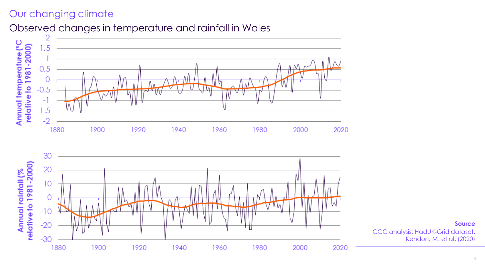## Our changing climate

## Observed changes in temperature and rainfall in Wales



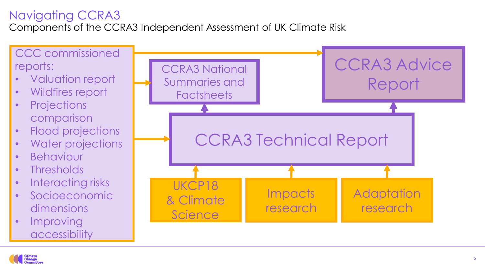# Navigating CCRA3

Components of the CCRA3 Independent Assessment of UK Climate Risk



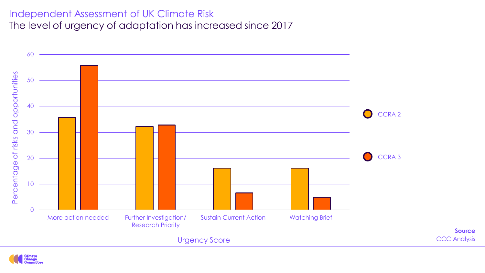#### Independent Assessment of UK Climate Risk The level of urgency of adaptation has increased since 2017



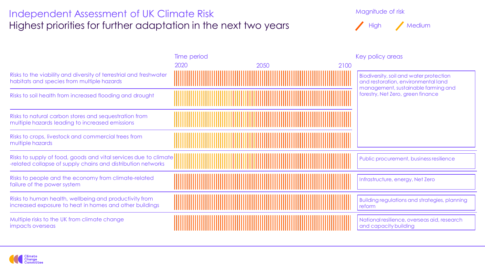#### Independent Assessment of UK Climate Risk Highest priorities for further adaptation in the next two years

Magnitude of risk



|                                                                                                                                  | Time period |              | Key policy areas                                                                                                                                           |
|----------------------------------------------------------------------------------------------------------------------------------|-------------|--------------|------------------------------------------------------------------------------------------------------------------------------------------------------------|
|                                                                                                                                  | 2020        | 2100<br>2050 |                                                                                                                                                            |
| Risks to the viability and diversity of terrestrial and freshwater<br>habitats and species from multiple hazards                 |             |              | Biodiversity, soil and water protection<br>and restoration, environmental land<br>management, sustainable farming and<br>forestry, Net Zero, green finance |
| Risks to soil health from increased flooding and drought                                                                         |             |              |                                                                                                                                                            |
| Risks to natural carbon stores and sequestration from<br>multiple hazards leading to increased emissions                         |             |              |                                                                                                                                                            |
| Risks to crops, livestock and commercial trees from<br>multiple hazards                                                          |             |              |                                                                                                                                                            |
| Risks to supply of food, goods and vital services due to climate<br>-related collapse of supply chains and distribution networks |             |              | Public procurement, business resilience                                                                                                                    |
| Risks to people and the economy from climate-related<br>failure of the power system                                              |             |              | Infrastructure, energy, Net Zero                                                                                                                           |
| Risks to human health, wellbeing and productivity from<br>increased exposure to heat in homes and other buildings                |             |              | Building regulations and strategies, planning<br>reform                                                                                                    |
| Multiple risks to the UK from climate change<br>impacts overseas                                                                 |             |              | National resilience, overseas aid, research<br>and capacity building                                                                                       |

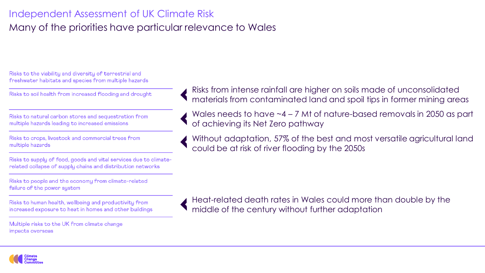# Independent Assessment of UK Climate Risk Many of the priorities have particular relevance to Wales

Risks to the viability and diversity of terrestrial and freshwater habitats and species from multiple hazards

Risks to soil health from increased flooding and drought

Risks to natural carbon stores and sequestration from multiple hazards leading to increased emissions

Risks to crops, livestock and commercial trees from multiple hazards

Risks to supply of food, goods and vital services due to climaterelated collapse of supply chains and distribution networks

Risks to people and the economy from climate-related failure of the power system

Risks to human health, wellbeing and productivity from increased exposure to heat in homes and other buildings

Multiple risks to the UK from climate change impacts overseas

Risks from intense rainfall are higher on soils made of unconsolidated materials from contaminated land and spoil tips in former mining areas

Wales needs to have ~4 – 7 Mt of nature-based removals in 2050 as part of achieving its Net Zero pathway

Without adaptation, 57% of the best and most versatile agricultural land could be at risk of river flooding by the 2050s

Heat-related death rates in Wales could more than double by the middle of the century without further adaptation

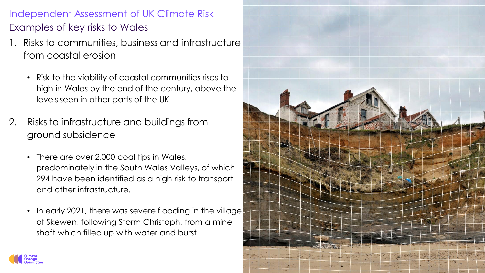# Examples of key risks to Wales Independent Assessment of UK Climate Risk

- 1. Risks to communities, business and infrastructure from coastal erosion
	- Risk to the viability of coastal communities rises to high in Wales by the end of the century, above the levels seen in other parts of the UK
- 2. Risks to infrastructure and buildings from ground subsidence
	- There are over 2,000 coal tips in Wales, predominately in the South Wales Valleys, of which 294 have been identified as a high risk to transport and other infrastructure.
	- In early 2021, there was severe flooding in the village of Skewen, following Storm Christoph, from a mine shaft which filled up with water and burst



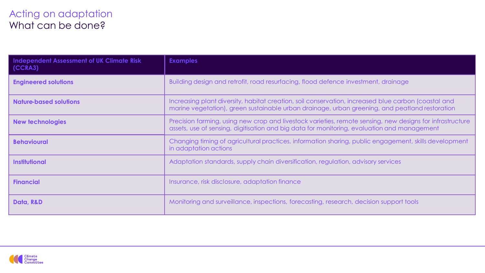#### Acting on adaptation What can be done?

| <b>Independent Assessment of UK Climate Risk</b><br>(CCRA3) | <b>Examples</b>                                                                                                                                                                                          |  |  |
|-------------------------------------------------------------|----------------------------------------------------------------------------------------------------------------------------------------------------------------------------------------------------------|--|--|
| <b>Engineered solutions</b>                                 | Building design and retrofit, road resurfacing, flood defence investment, drainage                                                                                                                       |  |  |
| <b>Nature-based solutions</b>                               | Increasing plant diversity, habitat creation, soil conservation, increased blue carbon (coastal and<br>marine vegetation), green sustainable urban drainage, urban greening, and peatland restoration    |  |  |
| <b>New technologies</b>                                     | Precision farming, using new crop and livestock varieties, remote sensing, new designs for infrastructure<br>assets, use of sensing, digitisation and big data for monitoring, evaluation and management |  |  |
| <b>Behavioural</b>                                          | Changing timing of agricultural practices, information sharing, public engagement, skills development<br>in adaptation actions                                                                           |  |  |
| <b>Institutional</b>                                        | Adaptation standards, supply chain diversification, regulation, advisory services                                                                                                                        |  |  |
| <b>Financial</b>                                            | Insurance, risk disclosure, adaptation finance                                                                                                                                                           |  |  |
| Data, R&D                                                   | Monitoring and surveillance, inspections, forecasting, research, decision support tools                                                                                                                  |  |  |

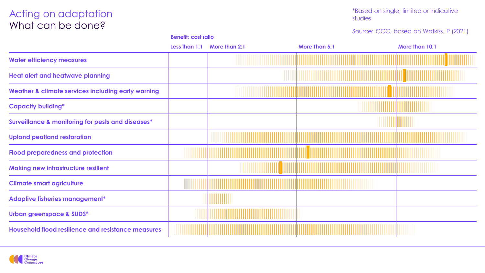#### Acting on adaptation What can be done?

\*Based on single, limited or indicative studies

#### Source: CCC, based on Watkiss. P (2021)

|                                                    | Less than 1:1 | More than 2:1 | <b>More Than 5:1</b> | More than 10:1 |
|----------------------------------------------------|---------------|---------------|----------------------|----------------|
| <b>Water efficiency measures</b>                   |               |               |                      |                |
| <b>Heat alert and heatwave planning</b>            |               |               |                      |                |
| Weather & climate services including early warning |               |               |                      |                |
| <b>Capacity building*</b>                          |               |               |                      |                |
| Surveillance & monitoring for pests and diseases*  |               |               |                      | ,,,,,,,,       |
| <b>Upland peatland restoration</b>                 |               |               |                      |                |
| <b>Flood preparedness and protection</b>           |               |               |                      |                |
| <b>Making new infrastructure resilient</b>         |               |               |                      |                |
| <b>Climate smart agriculture</b>                   |               |               |                      |                |
| <b>Adaptive fisheries management*</b>              |               |               |                      |                |
| <b>Urban greenspace &amp; SUDS*</b>                |               |               |                      |                |
| Household flood resilience and resistance measures |               |               |                      |                |

**Benefit: cost ratio**

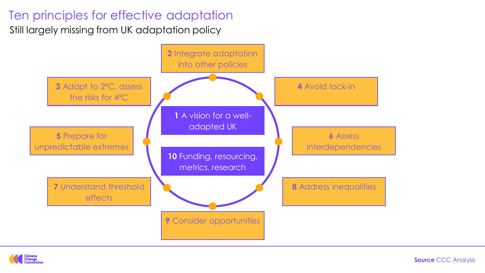# Ten principles for effective adaptation

Still largely missing from UK adaptation policy





**Source** CCC Analysis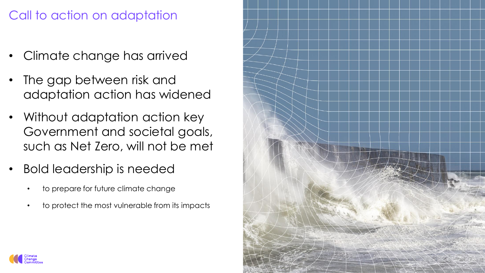# Call to action on adaptation

- Climate change has arrived
- The gap between risk and adaptation action has widened
- Without adaptation action key Government and societal goals, such as Net Zero, will not be met
- Bold leadership is needed
	- to prepare for future climate change
	- to protect the most vulnerable from its impacts